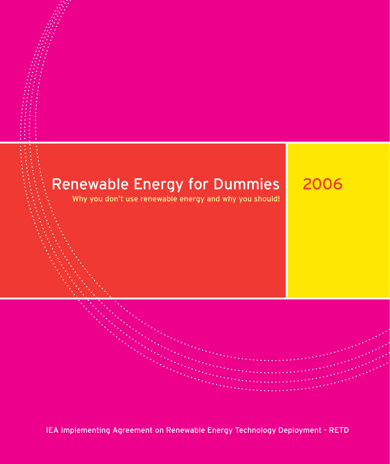## Renewable Energy for Dummies

Why you don't use renewable energy and why you should!

2006

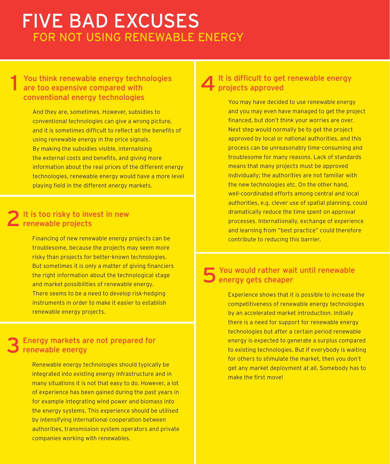## FIVE BAD EXCUSES FOR NOT USING RENEWABLE ENERGY

#### 1 You think renewable energy technologies are too expensive compared with conventional energy technologies

And they are, sometimes. However, subsidies to conventional technologies can give a wrong picture, and it is sometimes difficult to reflect all the benefits of using renewable energy in the price signals. By making the subsidies visible, internalising the external costs and benefits, and giving more information about the real prices of the different energy technologies, renewable energy would have a more level playing field in the different energy markets.

#### 2 It is too risky to invest in new<br>2 renewable projects renewable projects

Financing of new renewable energy projects can be troublesome, because the projects may seem more risky than projects for better-known technologies. But sometimes it is only a matter of giving financiers the right information about the technological stage and market possibilities of renewable energy. There seems to be a need to develop risk-hedging instruments in order to make it easier to establish renewable energy projects.

#### 3 Energy markets are not prepared for renewable energy

Renewable energy technologies should typically be integrated into existing energy infrastructure and in many situations it is not that easy to do. However, a lot of experience has been gained during the past years in for example integrating wind power and biomass into the energy systems. This experience should be utilised by intensifying international cooperation between authorities, transmission system operators and private companies working with renewables.

### 4 It is difficult to get renewable energy projects approved

You may have decided to use renewable energy and you may even have managed to get the project financed, but don't think your worries are over. Next step would normally be to get the project approved by local or national authorities, and this process can be unreasonably time-consuming and troublesome for many reasons. Lack of standards means that many projects must be approved individually; the authorities are not familiar with the new technologies etc. On the other hand, well-coordinated efforts among central and local authorities, e.g. clever use of spatial planning, could dramatically reduce the time spent on approval processes. Internationally, exchange of experience and learning from "best practice" could therefore contribute to reducing this barrier.

#### 5 You would rather wait until renewable energy gets cheaper

Experience shows that it is possible to increase the competitiveness of renewable energy technologies by an accelerated market introduction. Initially there is a need for support for renewable energy technologies but after a certain period renewable energy is expected to generate a surplus compared to existing technologies. But if everybody is waiting for others to stimulate the market, then you don't get any market deployment at all. Somebody has to make the first move!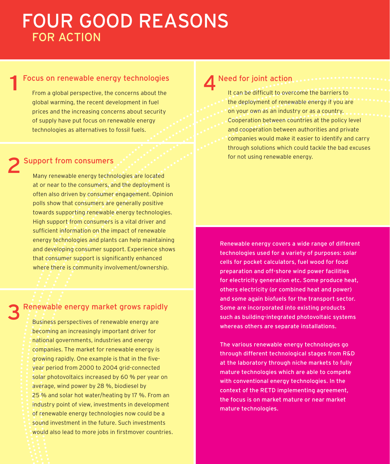## FOUR GOOD REASONS FOR ACTION

#### Focus on renewable energy technologies

From a global perspective, the concerns about the global warming, the recent development in fuel prices and the increasing concerns about security of supply have put focus on renewable energy technologies as alternatives to fossil fuels.

#### 2 Support from consumers

1

Many renewable energy technologies are located at or near to the consumers, and the deployment is often also driven by consumer engagement. Opinion polls show that consumers are generally positive towards supporting renewable energy technologies. High support from consumers is a vital driver and sufficient information on the impact of renewable energy technologies and plants can help maintaining and developing consumer support. Experience shows that consumer support is significantly enhanced where there is community involvement/ownership.

# 3 Renewable energy market grows rapidly<br>Business perspectives of renewable energy are

becoming an increasingly important driver for national governments, industries and energy companies. The market for renewable energy is growing rapidly. One example is that in the fiveyear period from 2000 to 2004 grid-connected solar photovoltaics increased by 60 % per year on average, wind power by 28 %, biodiesel by 25 % and solar hot water/heating by 17 %. From an industry point of view, investments in development of renewable energy technologies now could be a sound investment in the future. Such investments would also lead to more jobs in firstmover countries.

**4** Need for joint action<br>
It can be difficult to overcome the barriers to the deployment of renewable energy if you are on your own as an industry or as a country. Cooperation between countries at the policy level and cooperation between authorities and private companies would make it easier to identify and carry through solutions which could tackle the bad excuses for not using renewable energy.

Renewable energy covers a wide range of different technologies used for a variety of purposes: solar cells for pocket calculators, fuel wood for food preparation and off-shore wind power facilities for electricity generation etc. Some produce heat, others electricity (or combined heat and power) and some again biofuels for the transport sector. Some are incorporated into existing products such as building-integrated photovoltaic systems whereas others are separate installations.

The various renewable energy technologies go through different technological stages from R&D at the laboratory through niche markets to fully mature technologies which are able to compete with conventional energy technologies. In the context of the RETD implementing agreement, the focus is on market mature or near market mature technologies.